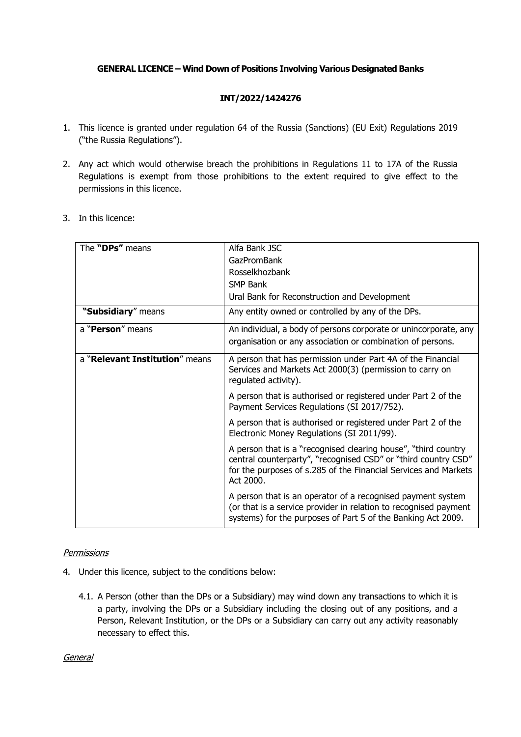## **GENERAL LICENCE – Wind Down of Positions Involving Various Designated Banks**

## **INT/2022/1424276**

- 1. This licence is granted under regulation 64 of the Russia (Sanctions) (EU Exit) Regulations 2019 ("the Russia Regulations").
- 2. Any act which would otherwise breach the prohibitions in Regulations 11 to 17A of the Russia Regulations is exempt from those prohibitions to the extent required to give effect to the permissions in this licence.
- 3. In this licence:

| The "DPs" means                | Alfa Bank JSC                                                                                                                                                                                                    |
|--------------------------------|------------------------------------------------------------------------------------------------------------------------------------------------------------------------------------------------------------------|
|                                | GazPromBank                                                                                                                                                                                                      |
|                                | Rosselkhozbank                                                                                                                                                                                                   |
|                                | <b>SMP Bank</b>                                                                                                                                                                                                  |
|                                | Ural Bank for Reconstruction and Development                                                                                                                                                                     |
| "Subsidiary" means             | Any entity owned or controlled by any of the DPs.                                                                                                                                                                |
| a "Person" means               | An individual, a body of persons corporate or unincorporate, any                                                                                                                                                 |
|                                | organisation or any association or combination of persons.                                                                                                                                                       |
| a "Relevant Institution" means | A person that has permission under Part 4A of the Financial<br>Services and Markets Act 2000(3) (permission to carry on<br>regulated activity).                                                                  |
|                                | A person that is authorised or registered under Part 2 of the<br>Payment Services Regulations (SI 2017/752).                                                                                                     |
|                                | A person that is authorised or registered under Part 2 of the<br>Electronic Money Regulations (SI 2011/99).                                                                                                      |
|                                | A person that is a "recognised clearing house", "third country<br>central counterparty", "recognised CSD" or "third country CSD"<br>for the purposes of s.285 of the Financial Services and Markets<br>Act 2000. |
|                                | A person that is an operator of a recognised payment system<br>(or that is a service provider in relation to recognised payment<br>systems) for the purposes of Part 5 of the Banking Act 2009.                  |

## **Permissions**

- 4. Under this licence, subject to the conditions below:
	- 4.1. A Person (other than the DPs or a Subsidiary) may wind down any transactions to which it is a party, involving the DPs or a Subsidiary including the closing out of any positions, and a Person, Relevant Institution, or the DPs or a Subsidiary can carry out any activity reasonably necessary to effect this.

General